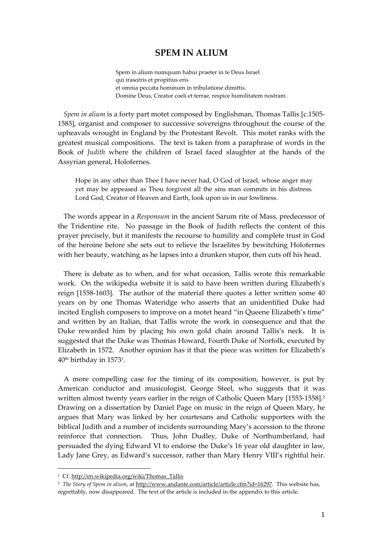# **SPEM IN ALIUM**

Spem in alium numquam habui praeter in te Deus Israel qui irascéris et propitius eris et omnia peccata hominum in tribulatione dimittis. Domine Deus, Creator coeli et terrae, respice humilitatem nostram.

*Spem in alium* is a forty part motet composed by Englishman, Thomas Tallis [c.1505‐ 1585], organist and composer to successive sovereigns throughout the course of the upheavals wrought in England by the Protestant Revolt. This motet ranks with the greatest musical compositions. The text is taken from a paraphrase of words in the Book of *Judith* where the children of Israel faced slaughter at the hands of the Assyrian general, Holofernes.

Hope in any other than Thee I have never had, O God of Israel, whose anger may yet may be appeased as Thou forgivest all the sins man commits in his distress. Lord God, Creator of Heaven and Earth, look upon us in our lowliness.

The words appear in a *Responsum* in the ancient Sarum rite of Mass, predecessor of the Tridentine rite. No passage in the Book of Judith reflects the content of this prayer precisely, but it manifests the recourse to humility and complete trust in God of the heroine before she sets out to relieve the Israelites by bewitching Holofernes with her beauty, watching as he lapses into a drunken stupor, then cuts off his head.

There is debate as to when, and for what occasion, Tallis wrote this remarkable work. On the wikipedia website it is said to have been written during Elizabeth's reign [1558‐1603]. The author of the material there quotes a letter written some 40 years on by one Thomas Wateridge who asserts that an unidentified Duke had incited English composers to improve on a motet heard "in Queene Elizabeth's time" and written by an Italian, that Tallis wrote the work in consequence and that the Duke rewarded him by placing his own gold chain around Tallis's neck. It is suggested that the Duke was Thomas Howard, Fourth Duke of Norfolk, executed by Elizabeth in 1572. Another opinion has it that the piece was written for Elizabeth's 40th birthday in 15731.

A more compelling case for the timing of its composition, however, is put by American conductor and musicologist, George Steel, who suggests that it was written almost twenty years earlier in the reign of Catholic Queen Mary [1553-1558].<sup>2</sup> Drawing on a dissertation by Daniel Page on music in the reign of Queen Mary, he argues that Mary was linked by her courtesans and Catholic supporters with the biblical Judith and a number of incidents surrounding Mary's accession to the throne reinforce that connection. Thus, John Dudley, Duke of Northumberland, had persuaded the dying Edward VI to endorse the Duke's 16 year old daughter in law, Lady Jane Grey, as Edward's successor, rather than Mary Henry VIII's rightful heir.

1

<sup>&</sup>lt;sup>1</sup> Cf. http://en.wikipedia.org/wiki/Thomas\_Tallis

<sup>2</sup> *The Story of Spem in alium*, at http://www.andante.com/article/article.cfm?id=16297. This website has, regrettably, now disappeared. The text of the article is included in the appendix to this article.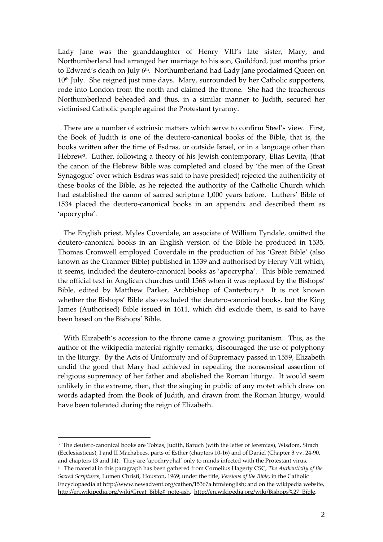Lady Jane was the granddaughter of Henry VIII's late sister, Mary, and Northumberland had arranged her marriage to his son, Guildford, just months prior to Edward's death on July 6<sup>th</sup>. Northumberland had Lady Jane proclaimed Queen on 10<sup>th</sup> July. She reigned just nine days. Mary, surrounded by her Catholic supporters, rode into London from the north and claimed the throne. She had the treacherous Northumberland beheaded and thus, in a similar manner to Judith, secured her victimised Catholic people against the Protestant tyranny.

There are a number of extrinsic matters which serve to confirm Steel's view. First, the Book of Judith is one of the deutero‐canonical books of the Bible, that is, the books written after the time of Esdras, or outside Israel, or in a language other than Hebrew3. Luther, following a theory of his Jewish contemporary, Elias Levita, (that the canon of the Hebrew Bible was completed and closed by 'the men of the Great Synagogue' over which Esdras was said to have presided) rejected the authenticity of these books of the Bible, as he rejected the authority of the Catholic Church which had established the canon of sacred scripture 1,000 years before. Luthers' Bible of 1534 placed the deutero‐canonical books in an appendix and described them as 'apocrypha'.

The English priest, Myles Coverdale, an associate of William Tyndale, omitted the deutero‐canonical books in an English version of the Bible he produced in 1535. Thomas Cromwell employed Coverdale in the production of his 'Great Bible' (also known as the Cranmer Bible) published in 1539 and authorised by Henry VIII which, it seems, included the deutero‐canonical books as 'apocrypha'. This bible remained the official text in Anglican churches until 1568 when it was replaced by the Bishops' Bible, edited by Matthew Parker, Archbishop of Canterbury.4 It is not known whether the Bishops' Bible also excluded the deutero-canonical books, but the King James (Authorised) Bible issued in 1611, which did exclude them, is said to have been based on the Bishops' Bible.

With Elizabeth's accession to the throne came a growing puritanism. This, as the author of the wikipedia material rightly remarks, discouraged the use of polyphony in the liturgy. By the Acts of Uniformity and of Supremacy passed in 1559, Elizabeth undid the good that Mary had achieved in repealing the nonsensical assertion of religious supremacy of her father and abolished the Roman liturgy. It would seem unlikely in the extreme, then, that the singing in public of any motet which drew on words adapted from the Book of Judith, and drawn from the Roman liturgy, would have been tolerated during the reign of Elizabeth.

1

<sup>&</sup>lt;sup>3</sup> The deutero-canonical books are Tobias, Judith, Baruch (with the letter of Jeremias), Wisdom, Sirach (Ecclesiasticus), I and II Machabees, parts of Esther (chapters 10‐16) and of Daniel (Chapter 3 vv. 24‐90, and chapters 13 and 14). They are 'apochryphal' only to minds infected with the Protestant virus.

<sup>4</sup> The material in this paragraph has been gathered from Cornelius Hagerty CSC, *The Authenticity of the Sacred Scripture*s, Lumen Christi, Houston, 1969; under the title, *Versions of the Bible*, in the Catholic Encyclopaedia at http://www.newadvent.org/cathen/15367a.htm#english; and on the wikipedia website, http://en.wikipedia.org/wiki/Great\_Bible#\_note-ash,\_http://en.wikipedia.org/wiki/Bishops%27\_Bible.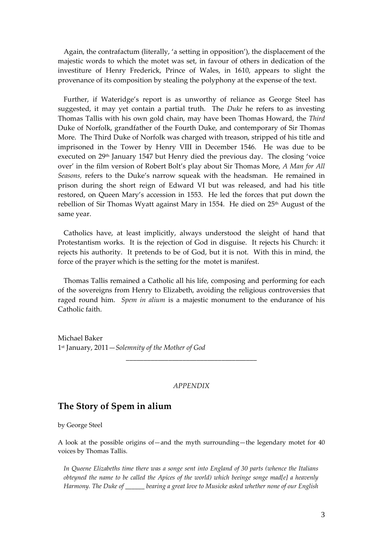Again, the contrafactum (literally, 'a setting in opposition'), the displacement of the majestic words to which the motet was set, in favour of others in dedication of the investiture of Henry Frederick, Prince of Wales, in 1610, appears to slight the provenance of its composition by stealing the polyphony at the expense of the text.

Further, if Wateridge's report is as unworthy of reliance as George Steel has suggested, it may yet contain a partial truth. The *Duke* he refers to as investing Thomas Tallis with his own gold chain, may have been Thomas Howard, the *Third* Duke of Norfolk, grandfather of the Fourth Duke, and contemporary of Sir Thomas More. The Third Duke of Norfolk was charged with treason, stripped of his title and imprisoned in the Tower by Henry VIII in December 1546. He was due to be executed on 29<sup>th</sup> January 1547 but Henry died the previous day. The closing 'voice over' in the film version of Robert Bolt's play about Sir Thomas More, *A Man for All Seasons,* refers to the Duke's narrow squeak with the headsman. He remained in prison during the short reign of Edward VI but was released, and had his title restored, on Queen Mary's accession in 1553. He led the forces that put down the rebellion of Sir Thomas Wyatt against Mary in 1554. He died on  $25<sup>th</sup>$  August of the same year.

Catholics have, at least implicitly, always understood the sleight of hand that Protestantism works. It is the rejection of God in disguise. It rejects his Church: it rejects his authority. It pretends to be of God, but it is not. With this in mind, the force of the prayer which is the setting for the motet is manifest.

Thomas Tallis remained a Catholic all his life, composing and performing for each of the sovereigns from Henry to Elizabeth, avoiding the religious controversies that raged round him. *Spem in alium* is a majestic monument to the endurance of his Catholic faith.

Michael Baker 1st January, 2011—*Solemnity of the Mother of God*

### *APPENDIX*

\_\_\_\_\_\_\_\_\_\_\_\_\_\_\_\_\_\_\_\_\_\_\_\_\_\_\_\_\_\_\_\_\_\_\_\_\_

## **The Story of Spem in alium**

by George Steel

A look at the possible origins of—and the myth surrounding—the legendary motet for 40 voices by Thomas Tallis.

*In Queene Elizabeths time there was a songe sent into England of 30 parts (whence the Italians obteyned the name to be called the Apices of the world) which beeinge songe mad[e] a heavenly Harmony. The Duke of \_\_\_\_\_\_ bearing a great love to Musicke asked whether none of our English*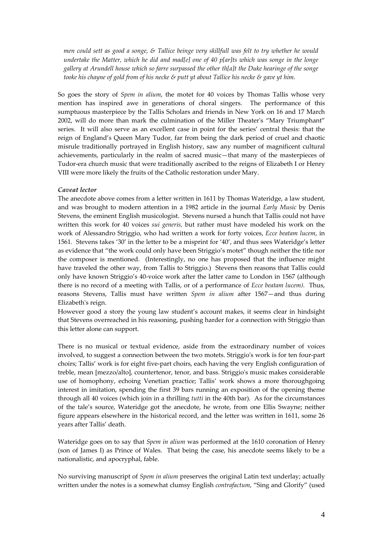men could sett as good a songe, & Tallice beinge very skillfull was felt to try whether he would *undertake the Matter, which he did and mad[e] one of 40 p[ar]ts which was songe in the longe gallery at Arundell house which so farre surpassed the other th[a]t the Duke hearinge of the songe* tooke his chayne of gold from of his necke  $\mathcal S$  putt yt about Tallice his necke  $\mathcal S$  gave yt him.

So goes the story of *Spem in alium*, the motet for 40 voices by Thomas Tallis whose very mention has inspired awe in generations of choral singers. The performance of this sumptuous masterpiece by the Tallis Scholars and friends in New York on 16 and 17 March 2002, will do more than mark the culmination of the Miller Theater's "Mary Triumphant" series. It will also serve as an excellent case in point for the series' central thesis: that the reign of England's Queen Mary Tudor, far from being the dark period of cruel and chaotic misrule traditionally portrayed in English history, saw any number of magnificent cultural achievements, particularly in the realm of sacred music—that many of the masterpieces of Tudor‐era church music that were traditionally ascribed to the reigns of Elizabeth I or Henry VIII were more likely the fruits of the Catholic restoration under Mary.

#### *Caveat lector*

The anecdote above comes from a letter written in 1611 by Thomas Wateridge, a law student, and was brought to modern attention in a 1982 article in the journal *Early Music* by Denis Stevens, the eminent English musicologist. Stevens nursed a hunch that Tallis could not have written this work for 40 voices *sui generis,* but rather must have modeled his work on the work of Alessandro Striggio, who had written a work for forty voices, *Ecce beatam lucem*, in 1561. Stevens takes '30' in the letter to be a misprint for '40', and thus sees Wateridge's letter as evidence that "the work could only have been Striggio's motet" though neither the title nor the composer is mentioned. (Interestingly, no one has proposed that the influence might have traveled the other way, from Tallis to Striggio.) Stevens then reasons that Tallis could only have known Striggio's 40‐voice work after the latter came to London in 1567 (although there is no record of a meeting with Tallis, or of a performance of *Ecce beatam lucem).* Thus, reasons Stevens, Tallis must have written *Spem in alium* after 1567—and thus during Elizabethʹs reign.

However good a story the young law student's account makes, it seems clear in hindsight that Stevens overreached in his reasoning, pushing harder for a connection with Striggio than this letter alone can support.

There is no musical or textual evidence, aside from the extraordinary number of voices involved, to suggest a connection between the two motets. Striggioʹs work is for ten four‐part choirs; Tallis' work is for eight five‐part choirs, each having the very English configuration of treble, mean [mezzo/alto], countertenor, tenor, and bass. Striggioʹs music makes considerable use of homophony, echoing Venetian practice; Tallis' work shows a more thoroughgoing interest in imitation, spending the first 39 bars running an exposition of the opening theme through all 40 voices (which join in a thrilling *tutti* in the 40th bar). As for the circumstances of the tale's source, Wateridge got the anecdote, he wrote, from one Ellis Swayne; neither figure appears elsewhere in the historical record, and the letter was written in 1611, some 26 years after Tallis' death.

Wateridge goes on to say that *Spem in alium* was performed at the 1610 coronation of Henry (son of James I) as Prince of Wales. That being the case, his anecdote seems likely to be a nationalistic, and apocryphal, fable.

No surviving manuscript of *Spem in alium* preserves the original Latin text underlay; actually written under the notes is a somewhat clumsy English *contrafactum*, "Sing and Glorify" (used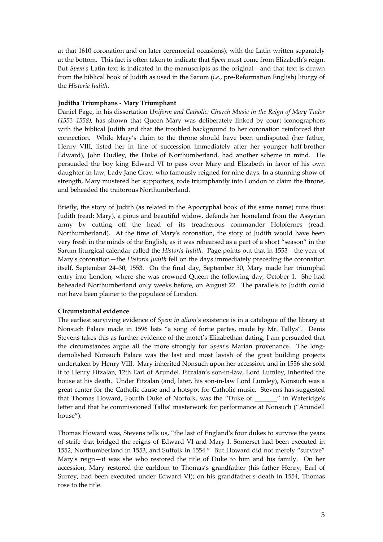at that 1610 coronation and on later ceremonial occasions), with the Latin written separately at the bottom. This fact is often taken to indicate that *Spem* must come from Elizabeth's reign. But *Spem*'s Latin text is indicated in the manuscripts as the original—and that text is drawn from the biblical book of Judith as used in the Sarum (*i.e.*, pre‐Reformation English) liturgy of the *Historia Judith*.

#### **Juditha Triumphans ‐ Mary Triumphant**

Daniel Page, in his dissertation *Uniform and Catholic: Church Music in the Reign of Mary Tudor (1553–1558),* has shown that Queen Mary was deliberately linked by court iconographers with the biblical Judith and that the troubled background to her coronation reinforced that connection. While Mary's claim to the throne should have been undisputed (her father, Henry VIII, listed her in line of succession immediately after her younger half‐brother Edward), John Dudley, the Duke of Northumberland, had another scheme in mind. He persuaded the boy king Edward VI to pass over Mary and Elizabeth in favor of his own daughter-in-law, Lady Jane Gray, who famously reigned for nine days. In a stunning show of strength, Mary mustered her supporters, rode triumphantly into London to claim the throne, and beheaded the traitorous Northumberland.

Briefly, the story of Judith (as related in the Apocryphal book of the same name) runs thus: Judith (read: Mary), a pious and beautiful widow, defends her homeland from the Assyrian army by cutting off the head of its treacherous commander Holofernes (read: Northumberland). At the time of Maryʹs coronation, the story of Judith would have been very fresh in the minds of the English, as it was rehearsed as a part of a short "season" in the Sarum liturgical calendar called the *Historia Judith.* Page points out that in 1553—the year of Maryʹs coronation—the *Historia Judith* fell on the days immediately preceding the coronation itself, September 24–30, 1553. On the final day, September 30, Mary made her triumphal entry into London, where she was crowned Queen the following day, October 1. She had beheaded Northumberland only weeks before, on August 22. The parallels to Judith could not have been plainer to the populace of London.

### **Circumstantial evidence**

The earliest surviving evidence of *Spem in alium*'s existence is in a catalogue of the library at Nonsuch Palace made in 1596 lists "a song of fortie partes, made by Mr. Tallys". Denis Stevens takes this as further evidence of the motet's Elizabethan dating; I am persuaded that the circumstances argue all the more strongly for *Spem's* Marian provenance. The longdemolished Nonsuch Palace was the last and most lavish of the great building projects undertaken by Henry VIII. Mary inherited Nonsuch upon her accession, and in 1556 she sold it to Henry Fitzalan, 12th Earl of Arundel. Fitzalan's son-in-law, Lord Lumley, inherited the house at his death. Under Fitzalan (and, later, his son-in-law Lord Lumley), Nonsuch was a great center for the Catholic cause and a hotspot for Catholic music. Stevens has suggested that Thomas Howard, Fourth Duke of Norfolk, was the "Duke of \_\_\_\_\_\_" in Wateridge's letter and that he commissioned Tallis' masterwork for performance at Nonsuch ("Arundell house").

Thomas Howard was, Stevens tells us, "the last of Englandʹs four dukes to survive the years of strife that bridged the reigns of Edward VI and Mary I. Somerset had been executed in 1552, Northumberland in 1553, and Suffolk in 1554." But Howard did not merely "survive" Mary's reign-it was she who restored the title of Duke to him and his family. On her accession, Mary restored the earldom to Thomas's grandfather (his father Henry, Earl of Surrey, had been executed under Edward VI); on his grandfather's death in 1554, Thomas rose to the title.